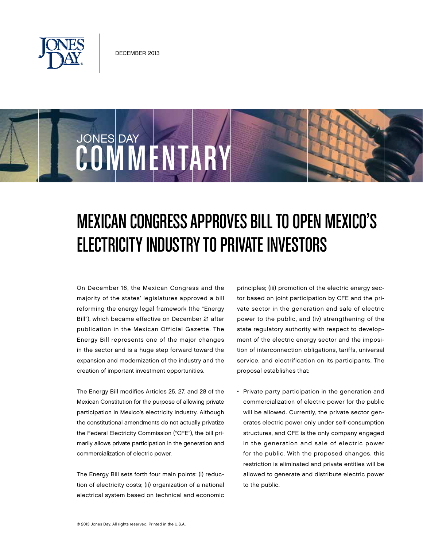

**COMMENTARY** 

JONES DAY

# Mexican Congress Approves Bill to Open Mexico's Electricity Industry to Private Investors

On December 16, the Mexican Congress and the majority of the states' legislatures approved a bill reforming the energy legal framework (the "Energy Bill"), which became effective on December 21 after publication in the Mexican Official Gazette. The Energy Bill represents one of the major changes in the sector and is a huge step forward toward the expansion and modernization of the industry and the creation of important investment opportunities.

The Energy Bill modifies Articles 25, 27, and 28 of the Mexican Constitution for the purpose of allowing private participation in Mexico's electricity industry. Although the constitutional amendments do not actually privatize the Federal Electricity Commission ("CFE"), the bill primarily allows private participation in the generation and commercialization of electric power.

The Energy Bill sets forth four main points: (i) reduction of electricity costs; (ii) organization of a national electrical system based on technical and economic principles; (iii) promotion of the electric energy sector based on joint participation by CFE and the private sector in the generation and sale of electric power to the public, and (iv) strengthening of the state regulatory authority with respect to development of the electric energy sector and the imposition of interconnection obligations, tariffs, universal service, and electrification on its participants. The proposal establishes that:

• Private party participation in the generation and commercialization of electric power for the public will be allowed. Currently, the private sector generates electric power only under self-consumption structures, and CFE is the only company engaged in the generation and sale of electric power for the public. With the proposed changes, this restriction is eliminated and private entities will be allowed to generate and distribute electric power to the public.